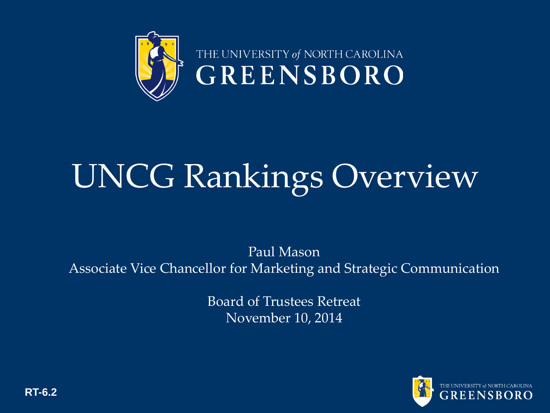

# UNCG Rankings Overview

Paul Mason Associate Vice Chancellor for Marketing and Strategic Communication

> Board of Trustees Retreat November 10, 2014



**RT-6.2**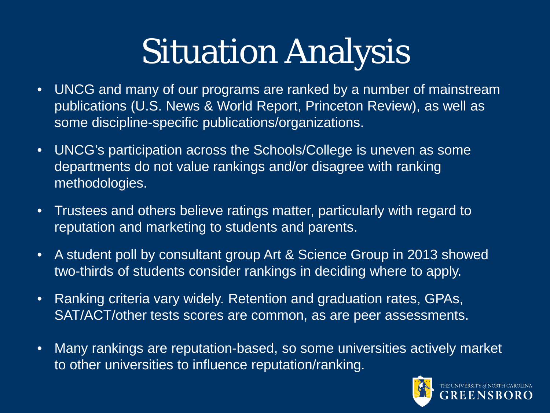# Situation Analysis

- UNCG and many of our programs are ranked by a number of mainstream publications (U.S. News & World Report, Princeton Review), as well as some discipline-specific publications/organizations.
- UNCG's participation across the Schools/College is uneven as some departments do not value rankings and/or disagree with ranking methodologies.
- Trustees and others believe ratings matter, particularly with regard to reputation and marketing to students and parents.
- A student poll by consultant group Art & Science Group in 2013 showed two-thirds of students consider rankings in deciding where to apply.
- Ranking criteria vary widely. Retention and graduation rates, GPAs, SAT/ACT/other tests scores are common, as are peer assessments.
- Many rankings are reputation-based, so some universities actively market to other universities to influence reputation/ranking.

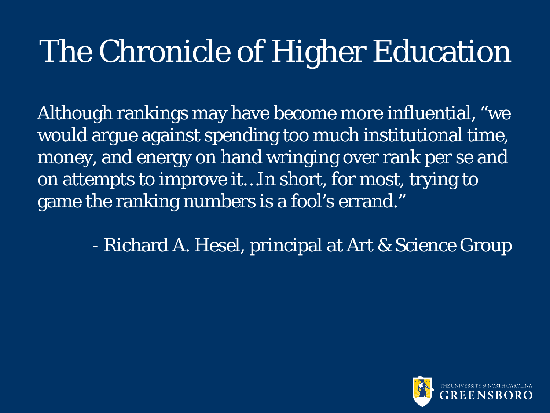### The Chronicle of Higher Education

Although rankings may have become more influential, "we would argue against spending too much institutional time, money, and energy on hand wringing over rank per se and on attempts to improve it…In short, for most, trying to game the ranking numbers is a fool's errand."

- Richard A. Hesel, principal at Art & Science Group

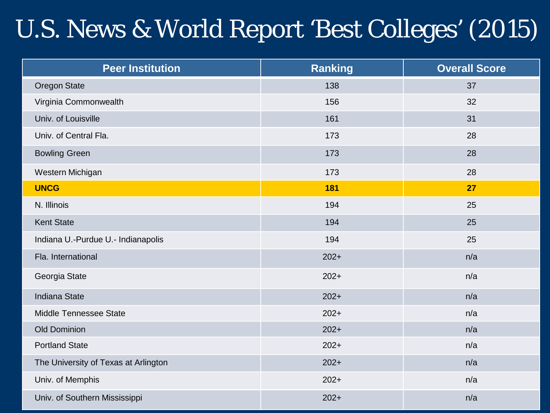#### U.S. News & World Report 'Best Colleges' (2015)

| <b>Peer Institution</b>              | <b>Ranking</b> | <b>Overall Score</b> |
|--------------------------------------|----------------|----------------------|
| Oregon State                         | 138            | 37                   |
| Virginia Commonwealth                | 156            | 32                   |
| Univ. of Louisville                  | 161            | 31                   |
| Univ. of Central Fla.                | 173            | 28                   |
| <b>Bowling Green</b>                 | 173            | 28                   |
| Western Michigan                     | 173            | 28                   |
| <b>UNCG</b>                          | 181            | 27                   |
| N. Illinois                          | 194            | 25                   |
| <b>Kent State</b>                    | 194            | 25                   |
| Indiana U.-Purdue U.- Indianapolis   | 194            | 25                   |
| Fla. International                   | $202+$         | n/a                  |
| Georgia State                        | $202+$         | n/a                  |
| <b>Indiana State</b>                 | $202+$         | n/a                  |
| Middle Tennessee State               | $202+$         | n/a                  |
| <b>Old Dominion</b>                  | $202+$         | n/a                  |
| <b>Portland State</b>                | $202+$         | n/a                  |
| The University of Texas at Arlington | $202+$         | n/a                  |
| Univ. of Memphis                     | $202+$         | n/a                  |
| Univ. of Southern Mississippi        | $202+$         | n/a                  |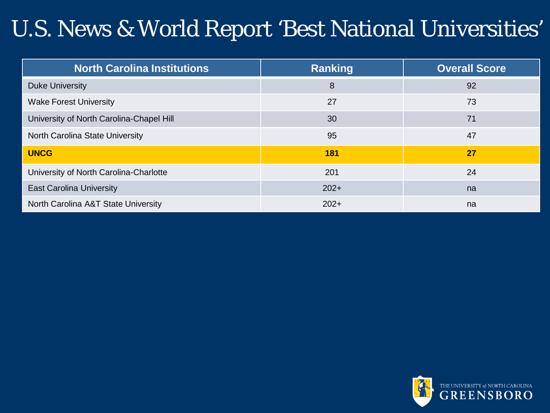#### U.S. News & World Report 'Best National Universities'

| <b>North Carolina Institutions</b>       | <b>Ranking</b> | <b>Overall Score</b> |
|------------------------------------------|----------------|----------------------|
| Duke University                          | 8              | 92                   |
| <b>Wake Forest University</b>            | 27             | 73                   |
| University of North Carolina-Chapel Hill | 30             | 71                   |
| North Carolina State University          | 95             | 47                   |
| <b>UNCG</b>                              | 181            | 27                   |
| University of North Carolina-Charlotte   | 201            | 24                   |
| <b>East Carolina University</b>          | $202+$         | na                   |
| North Carolina A&T State University      | $202+$         | na                   |

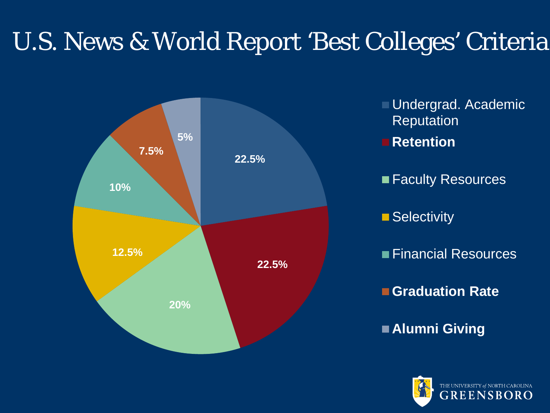### U.S. News & World Report 'Best Colleges' Criteria



**Undergrad. Academic** Reputation **Retention Faculty Resources** ■ Selectivity **Financial Resources Graduation Rate Alumni Giving**

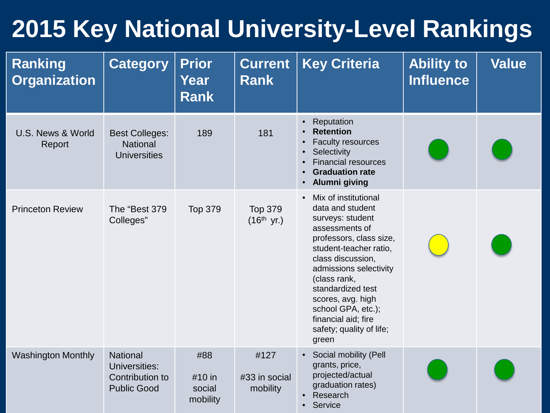#### **2015 Key National University-Level Rankings**

| <b>Ranking</b><br><b>Organization</b> | <b>Category</b>                                                           | <b>Prior</b><br><b>Year</b><br><b>Rank</b> | <b>Current</b><br><b>Rank</b>     | <b>Key Criteria</b>                                                                                                                                                                                                                                                                                                                         | <b>Ability to</b><br><b>Influence</b> | <b>Value</b> |
|---------------------------------------|---------------------------------------------------------------------------|--------------------------------------------|-----------------------------------|---------------------------------------------------------------------------------------------------------------------------------------------------------------------------------------------------------------------------------------------------------------------------------------------------------------------------------------------|---------------------------------------|--------------|
| U.S. News & World<br>Report           | <b>Best Colleges:</b><br><b>National</b><br><b>Universities</b>           | 189                                        | 181                               | Reputation<br>$\bullet$<br><b>Retention</b><br>$\bullet$<br><b>Faculty resources</b><br>$\bullet$<br>Selectivity<br>$\bullet$<br><b>Financial resources</b><br>$\bullet$<br><b>Graduation rate</b><br>$\bullet$<br>Alumni giving<br>$\bullet$                                                                                               |                                       |              |
| <b>Princeton Review</b>               | The "Best 379<br>Colleges"                                                | <b>Top 379</b>                             | <b>Top 379</b><br>$(16^{th}$ yr.) | Mix of institutional<br>$\bullet$<br>data and student<br>surveys: student<br>assessments of<br>professors, class size,<br>student-teacher ratio,<br>class discussion,<br>admissions selectivity<br>(class rank,<br>standardized test<br>scores, avg. high<br>school GPA, etc.);<br>financial aid; fire<br>safety; quality of life;<br>green |                                       |              |
| <b>Washington Monthly</b>             | <b>National</b><br>Universities:<br>Contribution to<br><b>Public Good</b> | #88<br>#10 in<br>social<br>mobility        | #127<br>#33 in social<br>mobility | Social mobility (Pell<br>$\bullet$<br>grants, price,<br>projected/actual<br>graduation rates)<br>Research<br>$\bullet$<br>Service<br>$\bullet$                                                                                                                                                                                              |                                       |              |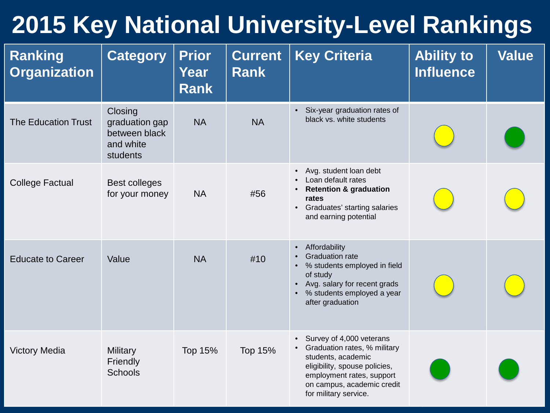#### **2015 Key National University-Level Rankings**

| <b>Ranking</b><br><b>Organization</b> | <b>Category</b>                                                     | <b>Prior</b><br>Year<br><b>Rank</b> | <b>Current</b><br><b>Rank</b> | <b>Key Criteria</b>                                                                                                                                                                                                       | <b>Ability to</b><br><b>Influence</b> | <b>Value</b> |
|---------------------------------------|---------------------------------------------------------------------|-------------------------------------|-------------------------------|---------------------------------------------------------------------------------------------------------------------------------------------------------------------------------------------------------------------------|---------------------------------------|--------------|
| <b>The Education Trust</b>            | Closing<br>graduation gap<br>between black<br>and white<br>students | <b>NA</b>                           | <b>NA</b>                     | Six-year graduation rates of<br>$\bullet$<br>black vs. white students                                                                                                                                                     |                                       |              |
| <b>College Factual</b>                | <b>Best colleges</b><br>for your money                              | <b>NA</b>                           | #56                           | Avg. student loan debt<br>$\bullet$<br>Loan default rates<br><b>Retention &amp; graduation</b><br>$\bullet$<br>rates<br>Graduates' starting salaries<br>$\bullet$<br>and earning potential                                |                                       |              |
| <b>Educate to Career</b>              | Value                                                               | <b>NA</b>                           | #10                           | Affordability<br>$\bullet$<br><b>Graduation rate</b><br>$\bullet$<br>% students employed in field<br>$\bullet$<br>of study<br>Avg. salary for recent grads<br>% students employed a year<br>$\bullet$<br>after graduation |                                       |              |
| <b>Victory Media</b>                  | <b>Military</b><br>Friendly<br><b>Schools</b>                       | <b>Top 15%</b>                      | <b>Top 15%</b>                | Survey of 4,000 veterans<br>$\bullet$<br>Graduation rates, % military<br>students, academic<br>eligibility, spouse policies,<br>employment rates, support<br>on campus, academic credit<br>for military service.          |                                       |              |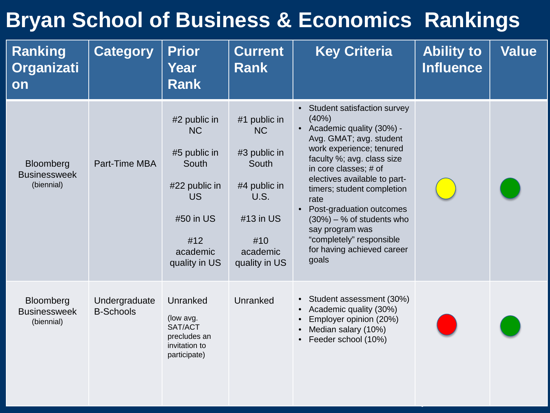#### **Bryan School of Business & Economics Rankings**

| <b>Ranking</b><br><b>Organizati</b><br><b>on</b> | <b>Category</b>                   | <b>Prior</b><br>Year<br><b>Rank</b>                                                                                               | <b>Current</b><br><b>Rank</b>                                                                                               | <b>Key Criteria</b>                                                                                                                                                                                                                                                                                                                                                                                        | <b>Ability to</b><br><b>Influence</b> | Value |
|--------------------------------------------------|-----------------------------------|-----------------------------------------------------------------------------------------------------------------------------------|-----------------------------------------------------------------------------------------------------------------------------|------------------------------------------------------------------------------------------------------------------------------------------------------------------------------------------------------------------------------------------------------------------------------------------------------------------------------------------------------------------------------------------------------------|---------------------------------------|-------|
| Bloomberg<br><b>Businessweek</b><br>(biennial)   | Part-Time MBA                     | #2 public in<br><b>NC</b><br>#5 public in<br>South<br>#22 public in<br><b>US</b><br>#50 in US<br>#12<br>academic<br>quality in US | #1 public in<br><b>NC</b><br>#3 public in<br>South<br>#4 public in<br>U.S.<br>#13 in US<br>#10<br>academic<br>quality in US | • Student satisfaction survey<br>(40%)<br>• Academic quality (30%) -<br>Avg. GMAT; avg. student<br>work experience; tenured<br>faculty %; avg. class size<br>in core classes; # of<br>electives available to part-<br>timers; student completion<br>rate<br>Post-graduation outcomes<br>$(30\%) - %$ of students who<br>say program was<br>"completely" responsible<br>for having achieved career<br>goals |                                       |       |
| Bloomberg<br><b>Businessweek</b><br>(biennial)   | Undergraduate<br><b>B-Schools</b> | Unranked<br>(low avg.<br>SAT/ACT<br>precludes an<br>invitation to<br>participate)                                                 | Unranked                                                                                                                    | • Student assessment (30%)<br>Academic quality (30%)<br>$\bullet$<br>Employer opinion (20%)<br>Median salary (10%)<br>Feeder school (10%)                                                                                                                                                                                                                                                                  |                                       |       |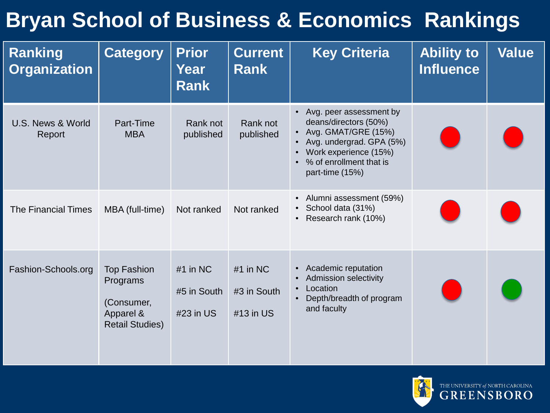#### **Bryan School of Business & Economics Rankings**

| <b>Ranking</b><br><b>Organization</b> | <b>Category</b>                                                                     | <b>Prior</b><br>Year<br><b>Rank</b>    | <b>Current</b><br><b>Rank</b>          | <b>Key Criteria</b>                                                                                                                                                                                                                         | <b>Ability to</b><br><b>Influence</b> | <b>Value</b> |
|---------------------------------------|-------------------------------------------------------------------------------------|----------------------------------------|----------------------------------------|---------------------------------------------------------------------------------------------------------------------------------------------------------------------------------------------------------------------------------------------|---------------------------------------|--------------|
| U.S. News & World<br>Report           | Part-Time<br><b>MBA</b>                                                             | Rank not<br>published                  | Rank not<br>published                  | Avg. peer assessment by<br>$\bullet$<br>deans/directors (50%)<br>Avg. GMAT/GRE (15%)<br>$\bullet$<br>Avg. undergrad. GPA (5%)<br>$\bullet$<br>Work experience (15%)<br>$\bullet$<br>% of enrollment that is<br>$\bullet$<br>part-time (15%) |                                       |              |
| <b>The Financial Times</b>            | MBA (full-time)                                                                     | Not ranked                             | Not ranked                             | Alumni assessment (59%)<br>$\bullet$<br>School data (31%)<br>$\bullet$<br>Research rank (10%)<br>$\bullet$                                                                                                                                  |                                       |              |
| Fashion-Schools.org                   | <b>Top Fashion</b><br>Programs<br>(Consumer,<br>Apparel &<br><b>Retail Studies)</b> | $#1$ in NC<br>#5 in South<br>#23 in US | $#1$ in NC<br>#3 in South<br>#13 in US | Academic reputation<br>$\bullet$<br><b>Admission selectivity</b><br>$\bullet$<br>Location<br>$\bullet$<br>Depth/breadth of program<br>$\bullet$<br>and faculty                                                                              |                                       |              |

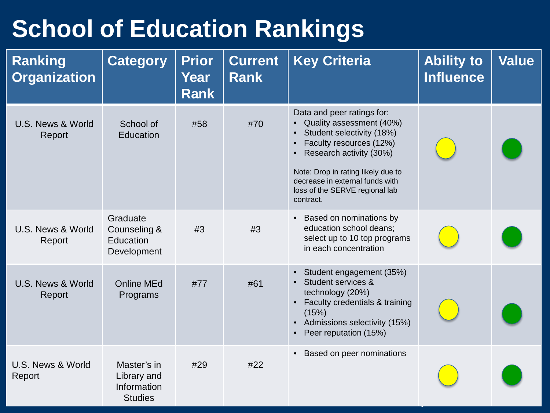#### **School of Education Rankings**

| <b>Ranking</b><br><b>Organization</b> | <b>Category</b>                                             | <b>Prior</b><br>Year<br><b>Rank</b> | <b>Current</b><br><b>Rank</b> | <b>Key Criteria</b>                                                                                                                                                                                                                                                   | <b>Ability to</b><br><b>Influence</b> | <b>Value</b> |
|---------------------------------------|-------------------------------------------------------------|-------------------------------------|-------------------------------|-----------------------------------------------------------------------------------------------------------------------------------------------------------------------------------------------------------------------------------------------------------------------|---------------------------------------|--------------|
| U.S. News & World<br>Report           | School of<br>Education                                      | #58                                 | #70                           | Data and peer ratings for:<br>• Quality assessment (40%)<br>Student selectivity (18%)<br>Faculty resources (12%)<br>• Research activity (30%)<br>Note: Drop in rating likely due to<br>decrease in external funds with<br>loss of the SERVE regional lab<br>contract. |                                       |              |
| U.S. News & World<br>Report           | Graduate<br>Counseling &<br>Education<br>Development        | #3                                  | #3                            | • Based on nominations by<br>education school deans;<br>select up to 10 top programs<br>in each concentration                                                                                                                                                         |                                       |              |
| U.S. News & World<br>Report           | <b>Online MEd</b><br>Programs                               | #77                                 | #61                           | • Student engagement (35%)<br>• Student services &<br>technology (20%)<br>• Faculty credentials & training<br>(15%)<br>• Admissions selectivity (15%)<br>Peer reputation (15%)                                                                                        |                                       |              |
| U.S. News & World<br>Report           | Master's in<br>Library and<br>Information<br><b>Studies</b> | #29                                 | #22                           | Based on peer nominations                                                                                                                                                                                                                                             |                                       |              |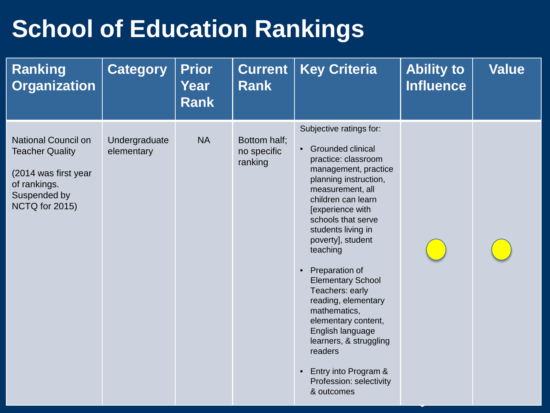#### **School of Education Rankings**

| <b>Ranking</b><br><b>Organization</b>                                                                                          | <b>Category</b>             | <b>Prior</b><br>Year<br><b>Rank</b> | <b>Current</b><br><b>Rank</b>          | <b>Key Criteria</b>                                                                                                                                                                                                                                                                                                                                                                                                                                                                                                                                | <b>Ability to</b><br><b>Influence</b> | <b>Value</b> |
|--------------------------------------------------------------------------------------------------------------------------------|-----------------------------|-------------------------------------|----------------------------------------|----------------------------------------------------------------------------------------------------------------------------------------------------------------------------------------------------------------------------------------------------------------------------------------------------------------------------------------------------------------------------------------------------------------------------------------------------------------------------------------------------------------------------------------------------|---------------------------------------|--------------|
| <b>National Council on</b><br><b>Teacher Quality</b><br>(2014 was first year<br>of rankings.<br>Suspended by<br>NCTQ for 2015) | Undergraduate<br>elementary | <b>NA</b>                           | Bottom half;<br>no specific<br>ranking | Subjective ratings for:<br>Grounded clinical<br>$\bullet$<br>practice: classroom<br>management, practice<br>planning instruction,<br>measurement, all<br>children can learn<br>[experience with<br>schools that serve<br>students living in<br>poverty], student<br>teaching<br>Preparation of<br>$\bullet$<br><b>Elementary School</b><br>Teachers: early<br>reading, elementary<br>mathematics,<br>elementary content,<br>English language<br>learners, & struggling<br>readers<br>Entry into Program &<br>Profession: selectivity<br>& outcomes |                                       |              |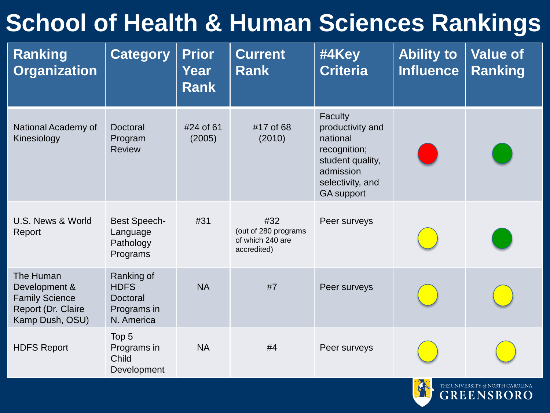#### **School of Health & Human Sciences Rankings**

| <b>Ranking</b><br><b>Organization</b>                                                        | <b>Category</b>                                                           | <b>Prior</b><br>Year<br><b>Rank</b> | <b>Current</b><br><b>Rank</b>                                  | #4Key<br><b>Criteria</b>                                                                                                          | <b>Ability to</b><br><b>Influence</b> | <b>Value of</b><br><b>Ranking</b> |
|----------------------------------------------------------------------------------------------|---------------------------------------------------------------------------|-------------------------------------|----------------------------------------------------------------|-----------------------------------------------------------------------------------------------------------------------------------|---------------------------------------|-----------------------------------|
| National Academy of<br>Kinesiology                                                           | Doctoral<br>Program<br><b>Review</b>                                      | #24 of 61<br>(2005)                 | #17 of 68<br>(2010)                                            | Faculty<br>productivity and<br>national<br>recognition;<br>student quality,<br>admission<br>selectivity, and<br><b>GA</b> support |                                       |                                   |
| U.S. News & World<br>Report                                                                  | <b>Best Speech-</b><br>Language<br>Pathology<br>Programs                  | #31                                 | #32<br>(out of 280 programs<br>of which 240 are<br>accredited) | Peer surveys                                                                                                                      |                                       |                                   |
| The Human<br>Development &<br><b>Family Science</b><br>Report (Dr. Claire<br>Kamp Dush, OSU) | Ranking of<br><b>HDFS</b><br><b>Doctoral</b><br>Programs in<br>N. America | <b>NA</b>                           | #7                                                             | Peer surveys                                                                                                                      |                                       |                                   |
| <b>HDFS Report</b>                                                                           | Top 5<br>Programs in<br>Child<br>Development                              | <b>NA</b>                           | #4                                                             | Peer surveys                                                                                                                      |                                       |                                   |

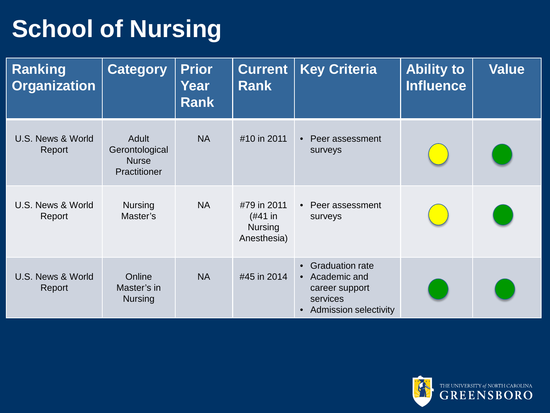### **School of Nursing**

| Ranking<br><b>Organization</b> | <b>Category</b>                                         | <b>Prior</b><br>Year<br><b>Rank</b> | <b>Current</b><br><b>Rank</b>                           | <b>Key Criteria</b>                                                                                                              | <b>Ability to</b><br><b>Influence</b> | <b>Value</b> |
|--------------------------------|---------------------------------------------------------|-------------------------------------|---------------------------------------------------------|----------------------------------------------------------------------------------------------------------------------------------|---------------------------------------|--------------|
| U.S. News & World<br>Report    | Adult<br>Gerontological<br><b>Nurse</b><br>Practitioner | <b>NA</b>                           | #10 in 2011                                             | • Peer assessment<br>surveys                                                                                                     |                                       |              |
| U.S. News & World<br>Report    | <b>Nursing</b><br>Master's                              | <b>NA</b>                           | #79 in 2011<br>(#41 in<br><b>Nursing</b><br>Anesthesia) | • Peer assessment<br>surveys                                                                                                     |                                       |              |
| U.S. News & World<br>Report    | Online<br>Master's in<br><b>Nursing</b>                 | <b>NA</b>                           | #45 in 2014                                             | <b>Graduation rate</b><br>$\bullet$<br>• Academic and<br>career support<br>services<br><b>Admission selectivity</b><br>$\bullet$ |                                       |              |

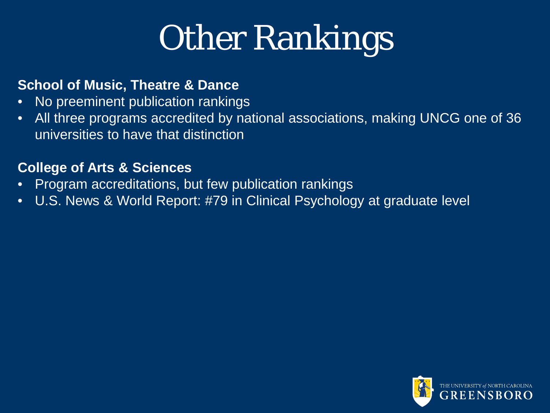# Other Rankings

#### **School of Music, Theatre & Dance**

- No preeminent publication rankings
- All three programs accredited by national associations, making UNCG one of 36 universities to have that distinction

#### **College of Arts & Sciences**

- Program accreditations, but few publication rankings
- U.S. News & World Report: #79 in Clinical Psychology at graduate level

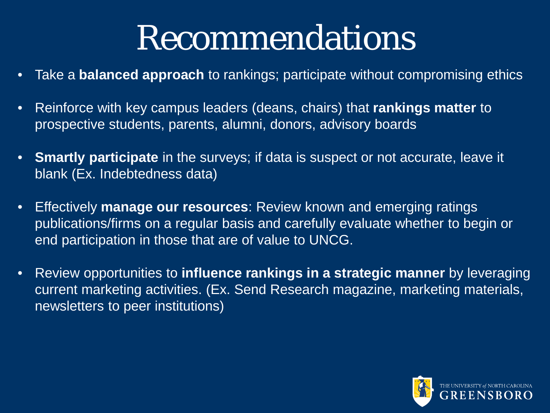## Recommendations

- Take a **balanced approach** to rankings; participate without compromising ethics
- Reinforce with key campus leaders (deans, chairs) that **rankings matter** to prospective students, parents, alumni, donors, advisory boards
- **Smartly participate** in the surveys; if data is suspect or not accurate, leave it blank (Ex. Indebtedness data)
- Effectively **manage our resources**: Review known and emerging ratings publications/firms on a regular basis and carefully evaluate whether to begin or end participation in those that are of value to UNCG.
- Review opportunities to **influence rankings in a strategic manner** by leveraging current marketing activities. (Ex. Send Research magazine, marketing materials, newsletters to peer institutions)